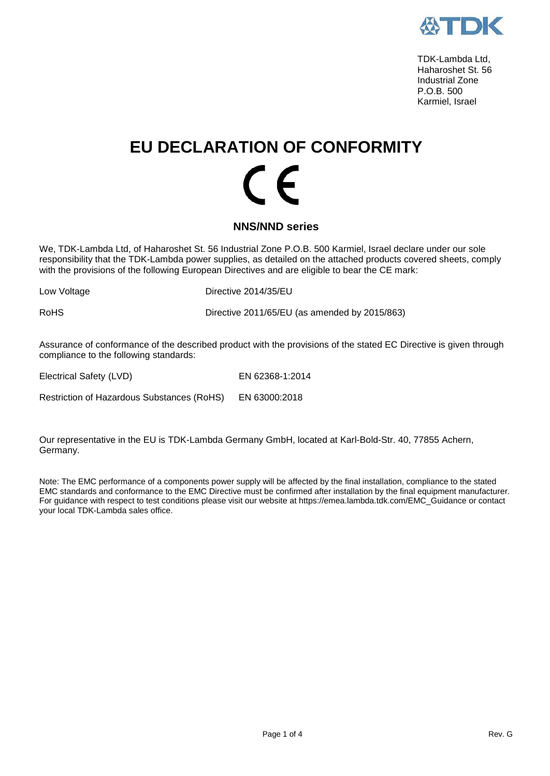

 TDK-Lambda Ltd, Haharoshet St. 56 Industrial Zone P.O.B. 500 Karmiel, Israel

# **EU DECLARATION OF CONFORMITY**  $\mathcal{\Gamma}$   $\mathcal{\mathcal{L}}$

#### **NNS/NND series**

We, TDK-Lambda Ltd, of Haharoshet St. 56 Industrial Zone P.O.B. 500 Karmiel, Israel declare under our sole responsibility that the TDK-Lambda power supplies, as detailed on the attached products covered sheets, comply with the provisions of the following European Directives and are eligible to bear the CE mark:

Low Voltage **Directive 2014/35/EU** 

RoHS Directive 2011/65/EU (as amended by 2015/863)

Assurance of conformance of the described product with the provisions of the stated EC Directive is given through compliance to the following standards:

Electrical Safety (LVD) EN 62368-1:2014

Restriction of Hazardous Substances (RoHS) EN 63000:2018

Our representative in the EU is TDK-Lambda Germany GmbH, located at Karl-Bold-Str. 40, 77855 Achern, Germany.

Note: The EMC performance of a components power supply will be affected by the final installation, compliance to the stated EMC standards and conformance to the EMC Directive must be confirmed after installation by the final equipment manufacturer. For guidance with respect to test conditions please visit our website at https://emea.lambda.tdk.com/EMC\_Guidance or contact your local TDK-Lambda sales office.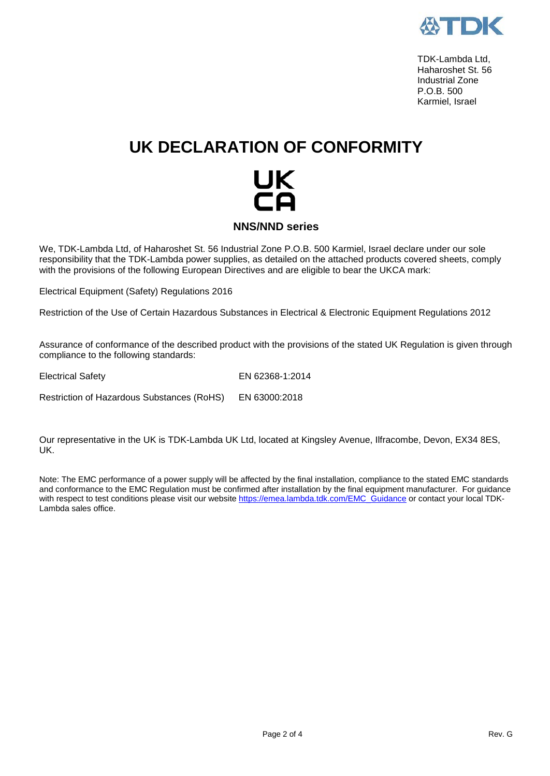

 TDK-Lambda Ltd, Haharoshet St. 56 Industrial Zone P.O.B. 500 Karmiel, Israel

## **UK DECLARATION OF CONFORMITY**



We, TDK-Lambda Ltd, of Haharoshet St. 56 Industrial Zone P.O.B. 500 Karmiel, Israel declare under our sole responsibility that the TDK-Lambda power supplies, as detailed on the attached products covered sheets, comply with the provisions of the following European Directives and are eligible to bear the UKCA mark:

Electrical Equipment (Safety) Regulations 2016

Restriction of the Use of Certain Hazardous Substances in Electrical & Electronic Equipment Regulations 2012

Assurance of conformance of the described product with the provisions of the stated UK Regulation is given through compliance to the following standards:

Electrical Safety EN 62368-1:2014

Restriction of Hazardous Substances (RoHS) EN 63000:2018

Our representative in the UK is TDK-Lambda UK Ltd, located at Kingsley Avenue, Ilfracombe, Devon, EX34 8ES, UK.

Note: The EMC performance of a power supply will be affected by the final installation, compliance to the stated EMC standards and conformance to the EMC Regulation must be confirmed after installation by the final equipment manufacturer. For guidance with respect to test conditions please visit our websit[e https://emea.lambda.tdk.com/EMC\\_Guidance](https://emea.lambda.tdk.com/EMC_Guidance) or contact your local TDK-Lambda sales office.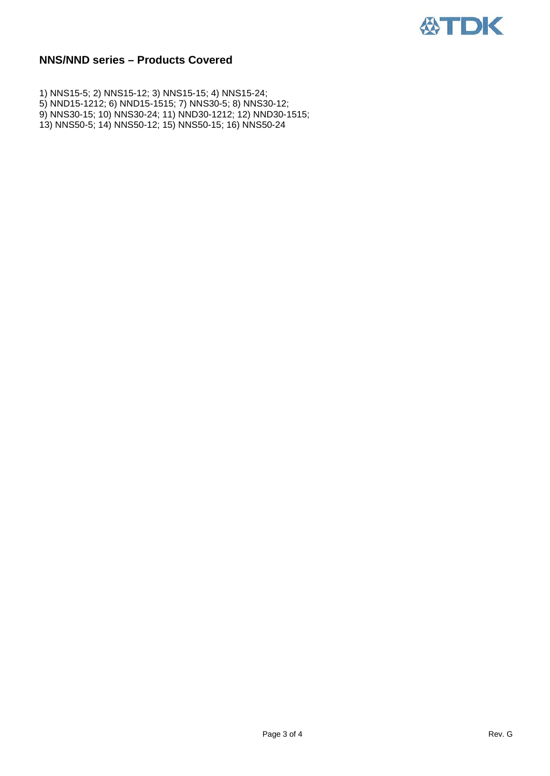

### **NNS/NND series – Products Covered**

1) NNS15-5; 2) NNS15-12; 3) NNS15-15; 4) NNS15-24; 5) NND15-1212; 6) NND15-1515; 7) NNS30-5; 8) NNS30-12; 9) NNS30-15; 10) NNS30-24; 11) NND30-1212; 12) NND30-1515; 13) NNS50-5; 14) NNS50-12; 15) NNS50-15; 16) NNS50-24